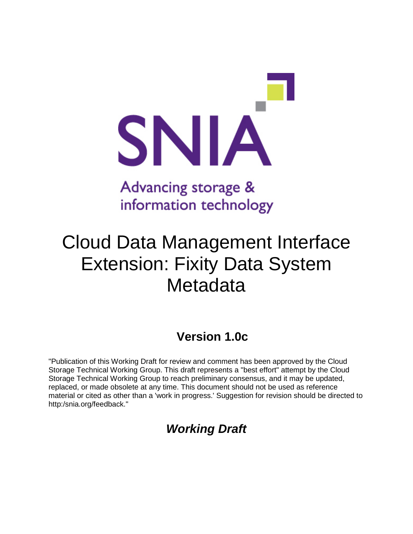

## Advancing storage & information technology

# Cloud Data Management Interface Extension: Fixity Data System **Metadata**

### **Version 1.0c**

"Publication of this Working Draft for review and comment has been approved by the Cloud Storage Technical Working Group. This draft represents a "best effort" attempt by the Cloud Storage Technical Working Group to reach preliminary consensus, and it may be updated, replaced, or made obsolete at any time. This document should not be used as reference material or cited as other than a 'work in progress.' Suggestion for revision should be directed to http:/snia.org/feedback."

### *Working Draft*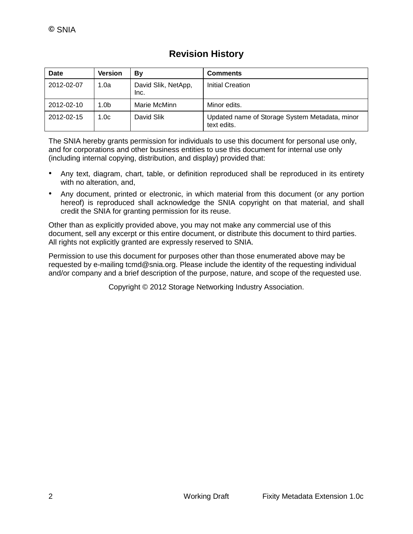| Date       | Version | Bν                          | <b>Comments</b>                                               |
|------------|---------|-----------------------------|---------------------------------------------------------------|
| 2012-02-07 | 1.0a    | David Slik, NetApp,<br>Inc. | Initial Creation                                              |
| 2012-02-10 | 1.0b    | Marie McMinn                | Minor edits.                                                  |
| 2012-02-15 | 1.0c    | David Slik                  | Updated name of Storage System Metadata, minor<br>text edits. |

The SNIA hereby grants permission for individuals to use this document for personal use only, and for corporations and other business entities to use this document for internal use only (including internal copying, distribution, and display) provided that:

- Any text, diagram, chart, table, or definition reproduced shall be reproduced in its entirety with no alteration, and,
- Any document, printed or electronic, in which material from this document (or any portion hereof) is reproduced shall acknowledge the SNIA copyright on that material, and shall credit the SNIA for granting permission for its reuse.

Other than as explicitly provided above, you may not make any commercial use of this document, sell any excerpt or this entire document, or distribute this document to third parties. All rights not explicitly granted are expressly reserved to SNIA.

Permission to use this document for purposes other than those enumerated above may be requested by e-mailing tcmd@snia.org. Please include the identity of the requesting individual and/or company and a brief description of the purpose, nature, and scope of the requested use.

Copyright © 2012 Storage Networking Industry Association.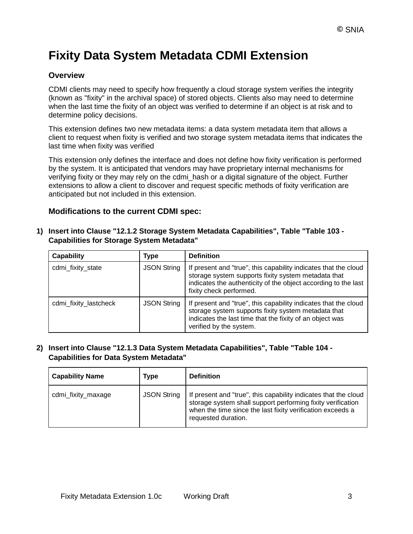### **Fixity Data System Metadata CDMI Extension**

#### **Overview**

CDMI clients may need to specify how frequently a cloud storage system verifies the integrity (known as "fixity" in the archival space) of stored objects. Clients also may need to determine when the last time the fixity of an object was verified to determine if an object is at risk and to determine policy decisions.

This extension defines two new metadata items: a data system metadata item that allows a client to request when fixity is verified and two storage system metadata items that indicates the last time when fixity was verified

This extension only defines the interface and does not define how fixity verification is performed by the system. It is anticipated that vendors may have proprietary internal mechanisms for verifying fixity or they may rely on the cdmi\_hash or a digital signature of the object. Further extensions to allow a client to discover and request specific methods of fixity verification are anticipated but not included in this extension.

#### **Modifications to the current CDMI spec:**

#### **1) Insert into Clause "12.1.2 Storage System Metadata Capabilities", Table "Table 103 - Capabilities for Storage System Metadata"**

| <b>Capability</b>     | Type               | <b>Definition</b>                                                                                                                                                                                                   |
|-----------------------|--------------------|---------------------------------------------------------------------------------------------------------------------------------------------------------------------------------------------------------------------|
| cdmi_fixity_state     | <b>JSON String</b> | If present and "true", this capability indicates that the cloud<br>storage system supports fixity system metadata that<br>indicates the authenticity of the object according to the last<br>fixity check performed. |
| cdmi_fixity_lastcheck | <b>JSON String</b> | If present and "true", this capability indicates that the cloud<br>storage system supports fixity system metadata that<br>indicates the last time that the fixity of an object was<br>verified by the system.       |

#### **2) Insert into Clause "12.1.3 Data System Metadata Capabilities", Table "Table 104 - Capabilities for Data System Metadata"**

| <b>Capability Name</b> | Type               | <b>Definition</b>                                                                                                                                                                                                   |
|------------------------|--------------------|---------------------------------------------------------------------------------------------------------------------------------------------------------------------------------------------------------------------|
| cdmi_fixity_maxage     | <b>JSON String</b> | If present and "true", this capability indicates that the cloud<br>storage system shall support performing fixity verification<br>when the time since the last fixity verification exceeds a<br>requested duration. |